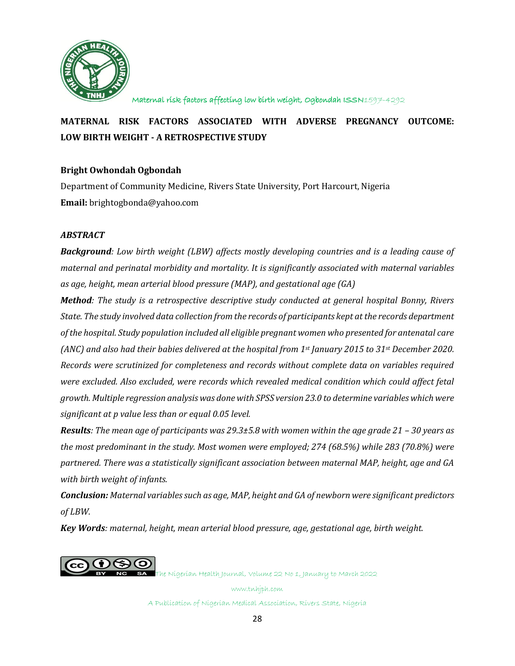

# **MATERNAL RISK FACTORS ASSOCIATED WITH ADVERSE PREGNANCY OUTCOME: LOW BIRTH WEIGHT - A RETROSPECTIVE STUDY**

# **Bright Owhondah Ogbondah**

Department of Community Medicine, Rivers State University, Port Harcourt, Nigeria **Email:** brightogbonda@yahoo.com

## *ABSTRACT*

*Background: Low birth weight (LBW) affects mostly developing countries and is a leading cause of maternal and perinatal morbidity and mortality. It is significantly associated with maternal variables as age, height, mean arterial blood pressure (MAP), and gestational age (GA)*

*Method: The study is a retrospective descriptive study conducted at general hospital Bonny, Rivers State. The study involved data collection from the records of participants kept at the records department of the hospital. Study population included all eligible pregnant women who presented for antenatal care (ANC) and also had their babies delivered at the hospital from 1st January 2015 to 31st December 2020. Records were scrutinized for completeness and records without complete data on variables required were excluded. Also excluded, were records which revealed medical condition which could affect fetal growth. Multiple regression analysis was done with SPSS version 23.0 to determine variables which were significant at p value less than or equal 0.05 level.* 

*Results: The mean age of participants was 29.3±5.8 with women within the age grade 21 – 30 years as the most predominant in the study. Most women were employed; 274 (68.5%) while 283 (70.8%) were partnered. There was a statistically significant association between maternal MAP, height, age and GA with birth weight of infants.*

*Conclusion: Maternal variables such as age, MAP, height and GA of newborn were significant predictors of LBW.* 

*Key Words: maternal, height, mean arterial blood pressure, age, gestational age, birth weight.*



The Nigerian Health Journal, Volume 22 No 1, January to March 2022

www.tnhjph.com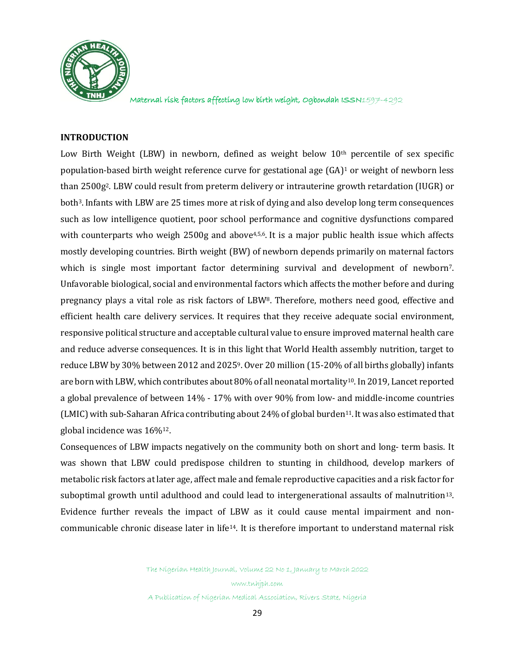

#### **INTRODUCTION**

Low Birth Weight (LBW) in newborn, defined as weight below  $10<sup>th</sup>$  percentile of sex specific population-based birth weight reference curve for gestational age (GA) <sup>1</sup> or weight of newborn less than 2500g2. LBW could result from preterm delivery or intrauterine growth retardation (IUGR) or both3.Infants with LBW are 25 times more at risk of dying and also develop long term consequences such as low intelligence quotient, poor school performance and cognitive dysfunctions compared with counterparts who weigh 2500g and above<sup>4,5,6</sup>. It is a major public health issue which affects mostly developing countries. Birth weight (BW) of newborn depends primarily on maternal factors which is single most important factor determining survival and development of newborn<sup>7</sup>. Unfavorable biological, social and environmental factors which affects the mother before and during pregnancy plays a vital role as risk factors of LBW8. Therefore, mothers need good, effective and efficient health care delivery services. It requires that they receive adequate social environment, responsive political structure and acceptable cultural value to ensure improved maternal health care and reduce adverse consequences. It is in this light that World Health assembly nutrition, target to reduce LBW by 30% between 2012 and 20259. Over 20 million (15-20% of all births globally) infants are born with LBW, which contributes about 80% of all neonatal mortality10. In 2019, Lancet reported a global prevalence of between 14% - 17% with over 90% from low- and middle-income countries (LMIC) with sub-Saharan Africa contributing about 24% of global burden11.It was also estimated that global incidence was 16%12.

Consequences of LBW impacts negatively on the community both on short and long- term basis. It was shown that LBW could predispose children to stunting in childhood, develop markers of metabolic risk factors at later age, affect male and female reproductive capacities and a risk factor for suboptimal growth until adulthood and could lead to intergenerational assaults of malnutrition13. Evidence further reveals the impact of LBW as it could cause mental impairment and noncommunicable chronic disease later in life14. It is therefore important to understand maternal risk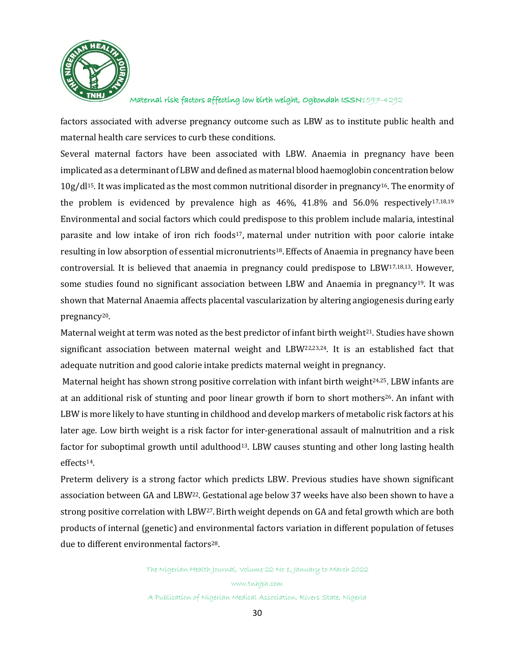

factors associated with adverse pregnancy outcome such as LBW as to institute public health and maternal health care services to curb these conditions.

Several maternal factors have been associated with LBW. Anaemia in pregnancy have been implicated as a determinant of LBW and defined as maternal blood haemoglobin concentration below  $10g/d$ <sup>15</sup>. It was implicated as the most common nutritional disorder in pregnancy<sup>16</sup>. The enormity of the problem is evidenced by prevalence high as  $46\%$ ,  $41.8\%$  and  $56.0\%$  respectively<sup>17,18,19</sup> Environmental and social factors which could predispose to this problem include malaria, intestinal parasite and low intake of iron rich foods<sup>17</sup>, maternal under nutrition with poor calorie intake resulting in low absorption of essential micronutrients18.Effects of Anaemia in pregnancy have been controversial. It is believed that anaemia in pregnancy could predispose to LBW17,18,13. However, some studies found no significant association between LBW and Anaemia in pregnancy<sup>19</sup>. It was shown that Maternal Anaemia affects placental vascularization by altering angiogenesis during early pregnancy20.

Maternal weight at term was noted as the best predictor of infant birth weight<sup>21</sup>. Studies have shown significant association between maternal weight and LBW22,23,24. It is an established fact that adequate nutrition and good calorie intake predicts maternal weight in pregnancy.

Maternal height has shown strong positive correlation with infant birth weight<sup>24,25</sup>. LBW infants are at an additional risk of stunting and poor linear growth if born to short mothers<sup>26</sup>. An infant with LBW is more likely to have stunting in childhood and develop markers of metabolic risk factors at his later age. Low birth weight is a risk factor for inter-generational assault of malnutrition and a risk factor for suboptimal growth until adulthood<sup>13</sup>. LBW causes stunting and other long lasting health effects14.

Preterm delivery is a strong factor which predicts LBW. Previous studies have shown significant association between GA and LBW22. Gestational age below 37 weeks have also been shown to have a strong positive correlation with LBW27.Birth weight depends on GA and fetal growth which are both products of internal (genetic) and environmental factors variation in different population of fetuses due to different environmental factors<sup>28</sup>.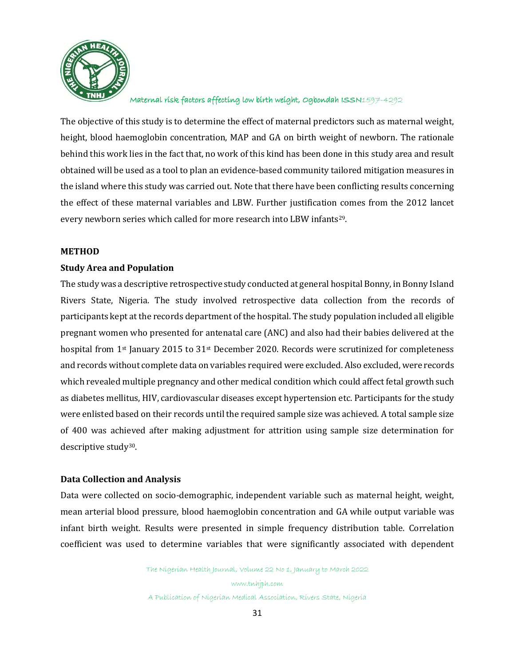

The objective of this study is to determine the effect of maternal predictors such as maternal weight, height, blood haemoglobin concentration, MAP and GA on birth weight of newborn. The rationale behind this work lies in the fact that, no work of this kind has been done in this study area and result obtained will be used as a tool to plan an evidence-based community tailored mitigation measures in the island where this study was carried out. Note that there have been conflicting results concerning the effect of these maternal variables and LBW. Further justification comes from the 2012 lancet every newborn series which called for more research into LBW infants29.

#### **METHOD**

#### **Study Area and Population**

The study was a descriptive retrospective study conducted at general hospital Bonny, in Bonny Island Rivers State, Nigeria. The study involved retrospective data collection from the records of participants kept at the records department of the hospital. The study population included all eligible pregnant women who presented for antenatal care (ANC) and also had their babies delivered at the hospital from 1st January 2015 to 31st December 2020. Records were scrutinized for completeness and records without complete data on variables required were excluded. Also excluded, were records which revealed multiple pregnancy and other medical condition which could affect fetal growth such as diabetes mellitus, HIV, cardiovascular diseases except hypertension etc. Participants for the study were enlisted based on their records until the required sample size was achieved. A total sample size of 400 was achieved after making adjustment for attrition using sample size determination for descriptive study30.

#### **Data Collection and Analysis**

Data were collected on socio-demographic, independent variable such as maternal height, weight, mean arterial blood pressure, blood haemoglobin concentration and GA while output variable was infant birth weight. Results were presented in simple frequency distribution table. Correlation coefficient was used to determine variables that were significantly associated with dependent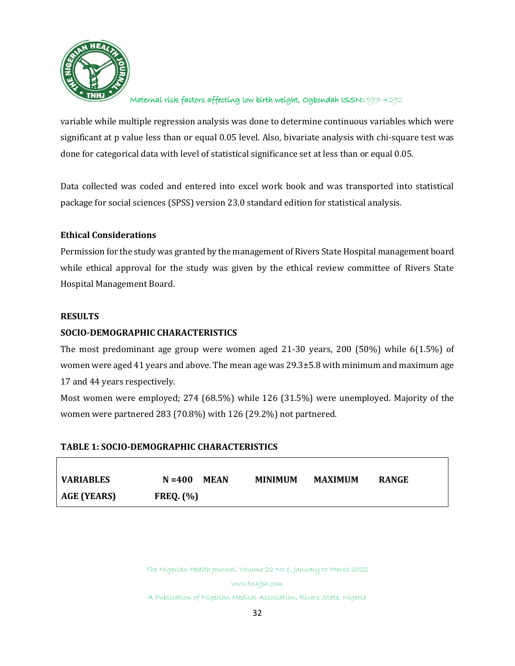

variable while multiple regression analysis was done to determine continuous variables which were significant at p value less than or equal 0.05 level. Also, bivariate analysis with chi-square test was done for categorical data with level of statistical significance set at less than or equal 0.05.

Data collected was coded and entered into excel work book and was transported into statistical package for social sciences (SPSS) version 23.0 standard edition for statistical analysis.

## **Ethical Considerations**

Permission for the study was granted by the management of Rivers State Hospital management board while ethical approval for the study was given by the ethical review committee of Rivers State Hospital Management Board.

## **RESULTS**

# **SOCIO-DEMOGRAPHIC CHARACTERISTICS**

The most predominant age group were women aged 21-30 years, 200 (50%) while 6(1.5%) of women were aged 41 years and above. The mean age was 29.3±5.8 with minimum and maximum age 17 and 44 years respectively.

Most women were employed; 274 (68.5%) while 126 (31.5%) were unemployed. Majority of the women were partnered 283 (70.8%) with 126 (29.2%) not partnered.

# **TABLE 1: SOCIO-DEMOGRAPHIC CHARACTERISTICS**

| <b>VARIABLES</b> | $N = 400$ MEAN  | <b>MINIMUM</b> | <b>MAXIMUM</b> | <b>RANGE</b> |
|------------------|-----------------|----------------|----------------|--------------|
| AGE (YEARS)      | $FREQ.$ $(\% )$ |                |                |              |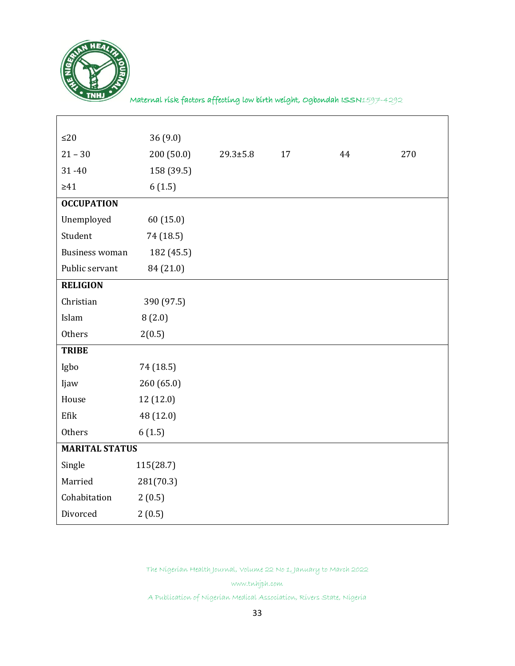

Maternal risk factors affecting low birth weight, Ogbondah ISSN1597-4292

| $\leq$ 20              | 36(9.0)    |                |    |    |     |
|------------------------|------------|----------------|----|----|-----|
| $21 - 30$              | 200(50.0)  | $29.3 \pm 5.8$ | 17 | 44 | 270 |
| $31 - 40$              | 158 (39.5) |                |    |    |     |
| $\geq 41$              | 6(1.5)     |                |    |    |     |
| <b>OCCUPATION</b>      |            |                |    |    |     |
| Unemployed             | 60(15.0)   |                |    |    |     |
| Student                | 74 (18.5)  |                |    |    |     |
| <b>Business woman</b>  | 182 (45.5) |                |    |    |     |
| Public servant         | 84 (21.0)  |                |    |    |     |
| <b>RELIGION</b>        |            |                |    |    |     |
| Christian              | 390 (97.5) |                |    |    |     |
| Islam                  | 8(2.0)     |                |    |    |     |
| Others                 | 2(0.5)     |                |    |    |     |
| <b>TRIBE</b>           |            |                |    |    |     |
| Igbo                   | 74 (18.5)  |                |    |    |     |
| Ijaw                   | 260 (65.0) |                |    |    |     |
| House                  | 12 (12.0)  |                |    |    |     |
| Efik                   | 48 (12.0)  |                |    |    |     |
| Others                 | 6(1.5)     |                |    |    |     |
| <b>MARITAL STATUS</b>  |            |                |    |    |     |
| Single                 | 115(28.7)  |                |    |    |     |
| Married<br>281(70.3)   |            |                |    |    |     |
| Cohabitation<br>2(0.5) |            |                |    |    |     |
| Divorced               | 2(0.5)     |                |    |    |     |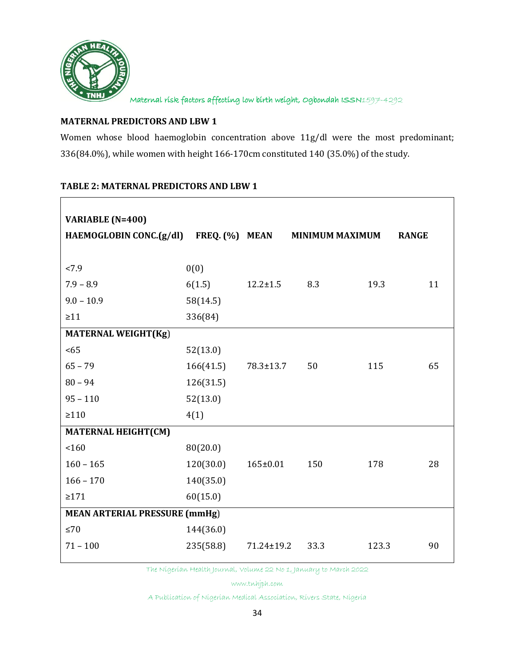

# **MATERNAL PREDICTORS AND LBW 1**

Women whose blood haemoglobin concentration above 11g/dl were the most predominant; 336(84.0%), while women with height 166-170cm constituted 140 (35.0%) of the study.

## **TABLE 2: MATERNAL PREDICTORS AND LBW 1**

| <b>VARIABLE (N=400)</b>                |           |                 |                        |       |              |
|----------------------------------------|-----------|-----------------|------------------------|-------|--------------|
| HAEMOGLOBIN CONC.(g/dl) FREQ. (%) MEAN |           |                 | <b>MINIMUM MAXIMUM</b> |       | <b>RANGE</b> |
| < 7.9                                  | 0(0)      |                 |                        |       |              |
| $7.9 - 8.9$                            |           |                 |                        |       |              |
|                                        | 6(1.5)    | $12.2 \pm 1.5$  | 8.3                    | 19.3  | 11           |
| $9.0 - 10.9$                           | 58(14.5)  |                 |                        |       |              |
| $\geq 11$                              | 336(84)   |                 |                        |       |              |
| <b>MATERNAL WEIGHT(Kg)</b>             |           |                 |                        |       |              |
| <65                                    | 52(13.0)  |                 |                        |       |              |
| $65 - 79$                              | 166(41.5) | $78.3 \pm 13.7$ | 50                     | 115   | 65           |
| $80 - 94$                              | 126(31.5) |                 |                        |       |              |
| $95 - 110$                             | 52(13.0)  |                 |                        |       |              |
| $\geq 110$                             | 4(1)      |                 |                        |       |              |
| <b>MATERNAL HEIGHT(CM)</b>             |           |                 |                        |       |              |
| 160                                    | 80(20.0)  |                 |                        |       |              |
| $160 - 165$                            | 120(30.0) | $165 \pm 0.01$  | 150                    | 178   | 28           |
| $166 - 170$                            | 140(35.0) |                 |                        |       |              |
| $\geq 171$                             | 60(15.0)  |                 |                        |       |              |
| <b>MEAN ARTERIAL PRESSURE (mmHg)</b>   |           |                 |                        |       |              |
| $\leq 70$                              | 144(36.0) |                 |                        |       |              |
| $71 - 100$                             | 235(58.8) | 71.24±19.2      | 33.3                   | 123.3 | 90           |
|                                        |           |                 |                        |       |              |

The Nigerian Health Journal, Volume 22 No 1, January to March 2022

www.tnhjph.com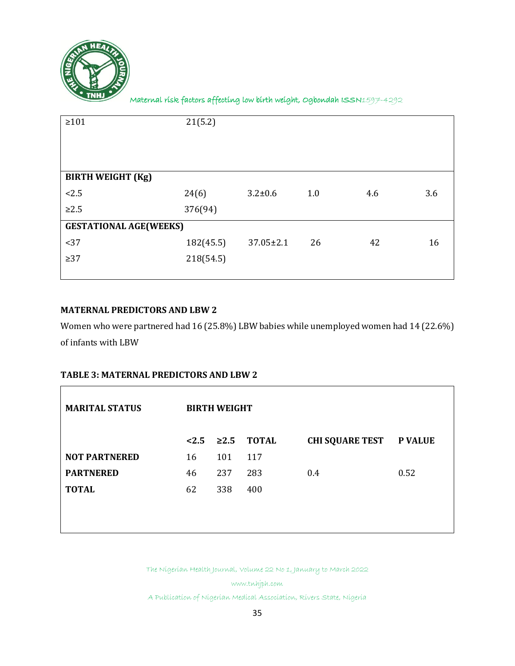

| $\geq 101$                    | 21(5.2)   |                 |     |     |     |
|-------------------------------|-----------|-----------------|-----|-----|-----|
| <b>BIRTH WEIGHT (Kg)</b>      |           |                 |     |     |     |
| 2.5                           | 24(6)     | $3.2 \pm 0.6$   | 1.0 | 4.6 | 3.6 |
| $\geq 2.5$                    | 376(94)   |                 |     |     |     |
| <b>GESTATIONAL AGE(WEEKS)</b> |           |                 |     |     |     |
| <37                           | 182(45.5) | $37.05 \pm 2.1$ | 26  | 42  | 16  |
| $\geq$ 37                     | 218(54.5) |                 |     |     |     |
|                               |           |                 |     |     |     |

# **MATERNAL PREDICTORS AND LBW 2**

Women who were partnered had 16 (25.8%) LBW babies while unemployed women had 14 (22.6%) of infants with LBW

# **TABLE 3: MATERNAL PREDICTORS AND LBW 2**

| <b>MARITAL STATUS</b> | <b>BIRTH WEIGHT</b> |     |                          |                                |      |  |  |
|-----------------------|---------------------|-----|--------------------------|--------------------------------|------|--|--|
|                       |                     |     | $< 2.5$ $\geq 2.5$ TOTAL | <b>CHI SQUARE TEST P VALUE</b> |      |  |  |
| <b>NOT PARTNERED</b>  | 16                  | 101 | 117                      |                                |      |  |  |
| <b>PARTNERED</b>      | 46                  | 237 | 283                      | 0.4                            | 0.52 |  |  |
| <b>TOTAL</b>          | 62                  | 338 | 400                      |                                |      |  |  |
|                       |                     |     |                          |                                |      |  |  |
|                       |                     |     |                          |                                |      |  |  |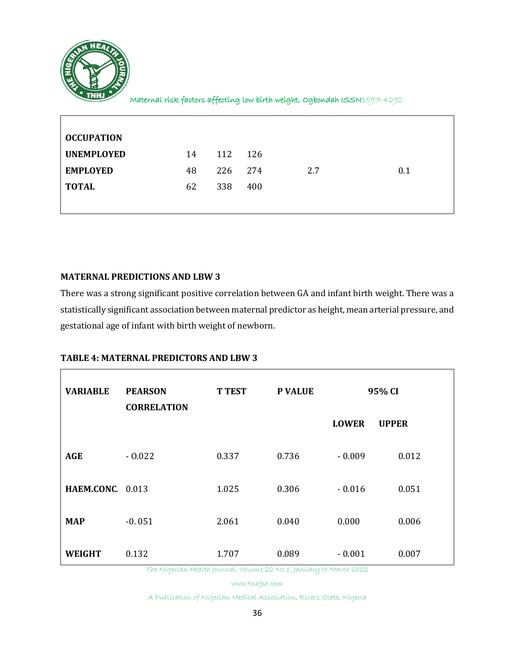

 $\blacksquare$ 

Maternal risk factors affecting low birth weight, Ogbondah ISSN1597-4292

| <b>OCCUPATION</b> |    |     |     |     |     |
|-------------------|----|-----|-----|-----|-----|
| <b>UNEMPLOYED</b> | 14 | 112 | 126 |     |     |
| <b>EMPLOYED</b>   | 48 | 226 | 274 | 2.7 | 0.1 |
| <b>TOTAL</b>      | 62 | 338 | 400 |     |     |
|                   |    |     |     |     |     |

## **MATERNAL PREDICTIONS AND LBW 3**

There was a strong significant positive correlation between GA and infant birth weight. There was a statistically significant association between maternal predictor as height, mean arterial pressure, and gestational age of infant with birth weight of newborn.

## **TABLE 4: MATERNAL PREDICTORS AND LBW 3**

| <b>VARIABLE</b>  | <b>PEARSON</b><br><b>CORRELATION</b> | <b>T TEST</b> | <b>P VALUE</b> | 95% CI       |              |
|------------------|--------------------------------------|---------------|----------------|--------------|--------------|
|                  |                                      |               |                | <b>LOWER</b> | <b>UPPER</b> |
| <b>AGE</b>       | $-0.022$                             | 0.337         | 0.736          | $-0.009$     | 0.012        |
| HAEM.CONC. 0.013 |                                      | 1.025         | 0.306          | $-0.016$     | 0.051        |
| <b>MAP</b>       | $-0.051$                             | 2.061         | 0.040          | 0.000        | 0.006        |
| <b>WEIGHT</b>    | 0.132                                | 1.707         | 0.089          | $-0.001$     | 0.007        |

The Nigerian Health Journal, Volume 22 No 1, January to March 2022

www.tnhjph.com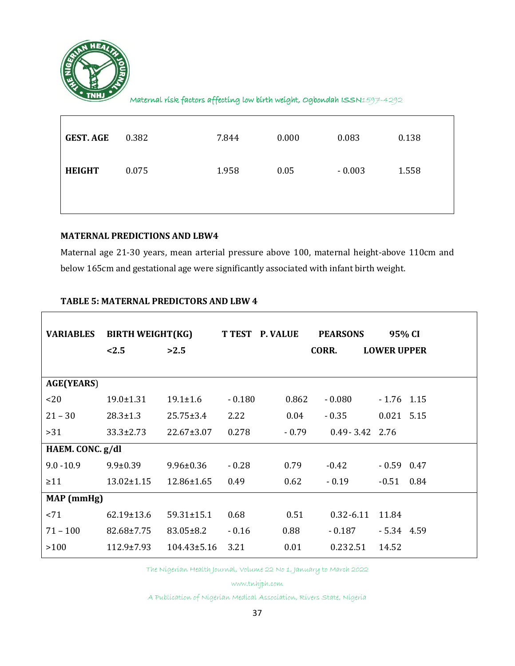

ा

Maternal risk factors affecting low birth weight, Ogbondah ISSN1597-4292

| <b>GEST. AGE</b> | 0.382 | 7.844 | 0.000 | 0.083    | 0.138 |
|------------------|-------|-------|-------|----------|-------|
| <b>HEIGHT</b>    | 0.075 | 1.958 | 0.05  | $-0.003$ | 1.558 |
|                  |       |       |       |          |       |

# **MATERNAL PREDICTIONS AND LBW4**

Maternal age 21-30 years, mean arterial pressure above 100, maternal height-above 110cm and below 165cm and gestational age were significantly associated with infant birth weight.

|  | <b>TABLE 5: MATERNAL PREDICTORS AND LBW 4</b> |  |
|--|-----------------------------------------------|--|
|  |                                               |  |

| <b>VARIABLES</b>  | <b>BIRTH WEIGHT(KG)</b> |                   | <b>T TEST P. VALUE</b> |         | <b>PEARSONS</b>    | 95% CI             |  |
|-------------------|-------------------------|-------------------|------------------------|---------|--------------------|--------------------|--|
|                   | < 2.5                   | >2.5              |                        |         | CORR.              | <b>LOWER UPPER</b> |  |
|                   |                         |                   |                        |         |                    |                    |  |
| <b>AGE(YEARS)</b> |                         |                   |                        |         |                    |                    |  |
| <20               | $19.0 \pm 1.31$         | $19.1 \pm 1.6$    | $-0.180$               | 0.862   | $-0.080$           | $-1.76$ 1.15       |  |
| $21 - 30$         | $28.3 \pm 1.3$          | $25.75 \pm 3.4$   | 2.22                   | 0.04    | $-0.35$            | $0.021$ 5.15       |  |
| >31               | $33.3 \pm 2.73$         | $22.67 \pm 3.07$  | 0.278                  | $-0.79$ | $0.49 - 3.42$ 2.76 |                    |  |
| HAEM. CONC. g/dl  |                         |                   |                        |         |                    |                    |  |
| $9.0 - 10.9$      | $9.9 \pm 0.39$          | $9.96 \pm 0.36$   | $-0.28$                | 0.79    | $-0.42$            | $-0.59$ 0.47       |  |
| $\geq$ 11         | $13.02 \pm 1.15$        | $12.86 \pm 1.65$  | 0.49                   | 0.62    | $-0.19$            | $-0.51$ 0.84       |  |
| MAP (mmHg)        |                         |                   |                        |         |                    |                    |  |
| < 71              | $62.19 \pm 13.6$        | $59.31 \pm 15.1$  | 0.68                   | 0.51    | $0.32 - 6.11$      | 11.84              |  |
| $71 - 100$        | 82.68±7.75              | $83.05 \pm 8.2$   | $-0.16$                | 0.88    | $-0.187$           | $-5.34$ 4.59       |  |
| >100              | $112.9 \pm 7.93$        | $104.43 \pm 5.16$ | 3.21                   | 0.01    | 0.232.51           | 14.52              |  |

The Nigerian Health Journal, Volume 22 No 1, January to March 2022

www.tnhjph.com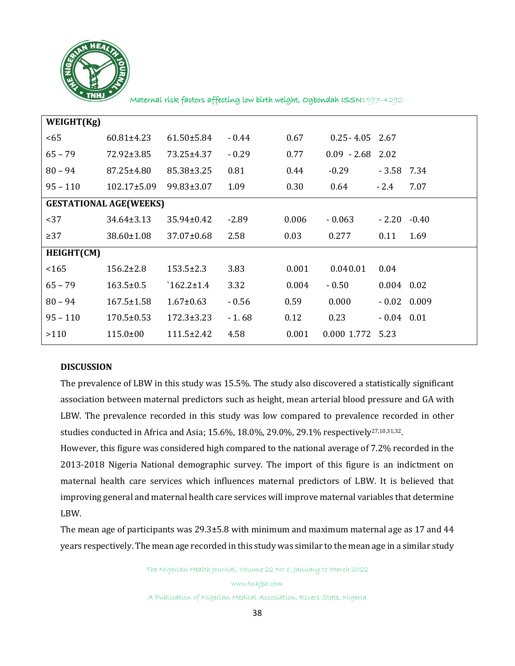

| WEIGHT(Kg) |                               |                  |         |       |                    |               |         |
|------------|-------------------------------|------------------|---------|-------|--------------------|---------------|---------|
| $65$       | $60.81 \pm 4.23$              | $61.50 \pm 5.84$ | $-0.44$ | 0.67  | $0.25 - 4.05$ 2.67 |               |         |
| $65 - 79$  | 72.92±3.85                    | 73.25±4.37       | $-0.29$ | 0.77  | $0.09 - 2.68$ 2.02 |               |         |
| $80 - 94$  | 87.25±4.80                    | 85.38±3.25       | 0.81    | 0.44  | $-0.29$            | $-3.58$       | 7.34    |
| $95 - 110$ | $102.17 \pm 5.09$             | 99.83±3.07       | 1.09    | 0.30  | 0.64               | $-2.4$        | 7.07    |
|            | <b>GESTATIONAL AGE(WEEKS)</b> |                  |         |       |                    |               |         |
| $37$       | 34.64±3.13                    | $35.94 \pm 0.42$ | $-2.89$ | 0.006 | $-0.063$           | $-2.20$       | $-0.40$ |
| $\geq$ 37  | 38.60±1.08                    | $37.07 \pm 0.68$ | 2.58    | 0.03  | 0.277              | 0.11          | 1.69    |
| HEIGHT(CM) |                               |                  |         |       |                    |               |         |
| 165        | $156.2 \pm 2.8$               | $153.5 \pm 2.3$  | 3.83    | 0.001 | 0.040.01           | 0.04          |         |
| $65 - 79$  | $163.5 \pm 0.5$               | $162.2 \pm 1.4$  | 3.32    | 0.004 | $-0.50$            | $0.004$ 0.02  |         |
| $80 - 94$  | $167.5 \pm 1.58$              | $1.67 \pm 0.63$  | $-0.56$ | 0.59  | 0.000              | $-0.02$ 0.009 |         |
| $95 - 110$ | $170.5 \pm 0.53$              | $172.3 \pm 3.23$ | $-1.68$ | 0.12  | 0.23               | $-0.04$ 0.01  |         |
| >110       | $115.0 \pm 00$                | $111.5 \pm 2.42$ | 4.58    | 0.001 | 0.000 1.772 5.23   |               |         |
|            |                               |                  |         |       |                    |               |         |

#### **DISCUSSION**

The prevalence of LBW in this study was 15.5%. The study also discovered a statistically significant association between maternal predictors such as height, mean arterial blood pressure and GA with LBW. The prevalence recorded in this study was low compared to prevalence recorded in other studies conducted in Africa and Asia; 15.6%, 18.0%, 29.0%, 29.1% respectively27,10,31,32.

However, this figure was considered high compared to the national average of 7.2% recorded in the 2013-2018 Nigeria National demographic survey. The import of this figure is an indictment on maternal health care services which influences maternal predictors of LBW. It is believed that improving general and maternal health care services will improve maternal variables that determine LBW.

The mean age of participants was 29.3±5.8 with minimum and maximum maternal age as 17 and 44 years respectively. The mean age recorded in this study was similar to the mean age in a similar study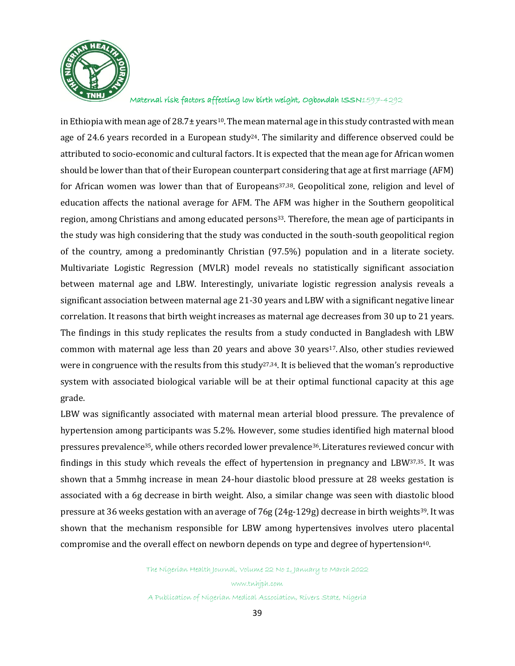

in Ethiopia with mean age of 28.7 $\pm$  years<sup>10</sup>. The mean maternal age in this study contrasted with mean age of 24.6 years recorded in a European study<sup>24</sup>. The similarity and difference observed could be attributed to socio-economic and cultural factors. It is expected that the mean age for African women should be lower than that of their European counterpart considering that age at first marriage (AFM) for African women was lower than that of Europeans37,38. Geopolitical zone, religion and level of education affects the national average for AFM. The AFM was higher in the Southern geopolitical region, among Christians and among educated persons<sup>33</sup>. Therefore, the mean age of participants in the study was high considering that the study was conducted in the south-south geopolitical region of the country, among a predominantly Christian (97.5%) population and in a literate society. Multivariate Logistic Regression (MVLR) model reveals no statistically significant association between maternal age and LBW. Interestingly, univariate logistic regression analysis reveals a significant association between maternal age 21-30 years and LBW with a significant negative linear correlation. It reasons that birth weight increases as maternal age decreases from 30 up to 21 years. The findings in this study replicates the results from a study conducted in Bangladesh with LBW common with maternal age less than 20 years and above 30 years<sup>17</sup>. Also, other studies reviewed were in congruence with the results from this study<sup>27,34</sup>. It is believed that the woman's reproductive system with associated biological variable will be at their optimal functional capacity at this age grade.

LBW was significantly associated with maternal mean arterial blood pressure. The prevalence of hypertension among participants was 5.2%. However, some studies identified high maternal blood pressures prevalence35, while others recorded lower prevalence36.Literatures reviewed concur with findings in this study which reveals the effect of hypertension in pregnancy and LBW37,35. It was shown that a 5mmhg increase in mean 24-hour diastolic blood pressure at 28 weeks gestation is associated with a 6g decrease in birth weight. Also, a similar change was seen with diastolic blood pressure at 36 weeks gestation with an average of 76g (24g-129g) decrease in birth weights39. It was shown that the mechanism responsible for LBW among hypertensives involves utero placental compromise and the overall effect on newborn depends on type and degree of hypertension<sup>40</sup>.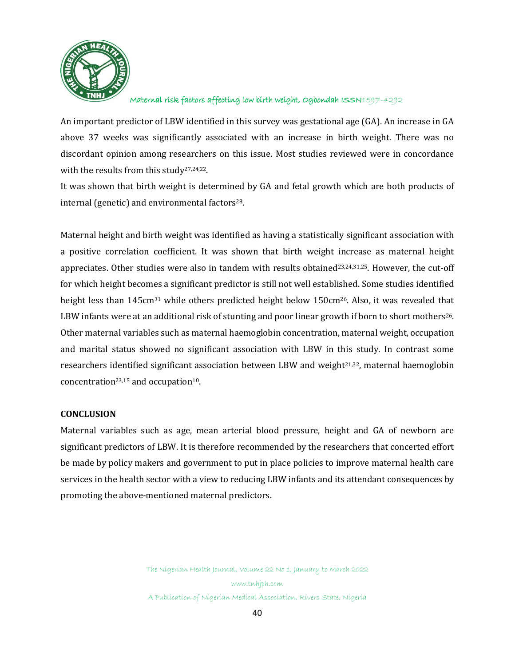

An important predictor of LBW identified in this survey was gestational age (GA). An increase in GA above 37 weeks was significantly associated with an increase in birth weight. There was no discordant opinion among researchers on this issue. Most studies reviewed were in concordance with the results from this study27,24,22.

It was shown that birth weight is determined by GA and fetal growth which are both products of internal (genetic) and environmental factors $28$ .

Maternal height and birth weight was identified as having a statistically significant association with a positive correlation coefficient. It was shown that birth weight increase as maternal height appreciates. Other studies were also in tandem with results obtained $23,24,31,25$ . However, the cut-off for which height becomes a significant predictor is still not well established. Some studies identified height less than 145cm<sup>31</sup> while others predicted height below 150cm<sup>26</sup>. Also, it was revealed that LBW infants were at an additional risk of stunting and poor linear growth if born to short mothers<sup>26</sup>. Other maternal variables such as maternal haemoglobin concentration, maternal weight, occupation and marital status showed no significant association with LBW in this study. In contrast some researchers identified significant association between LBW and weight<sup>21,32</sup>, maternal haemoglobin concentration<sup>23,15</sup> and occupation<sup>10</sup>.

#### **CONCLUSION**

Maternal variables such as age, mean arterial blood pressure, height and GA of newborn are significant predictors of LBW. It is therefore recommended by the researchers that concerted effort be made by policy makers and government to put in place policies to improve maternal health care services in the health sector with a view to reducing LBW infants and its attendant consequences by promoting the above-mentioned maternal predictors.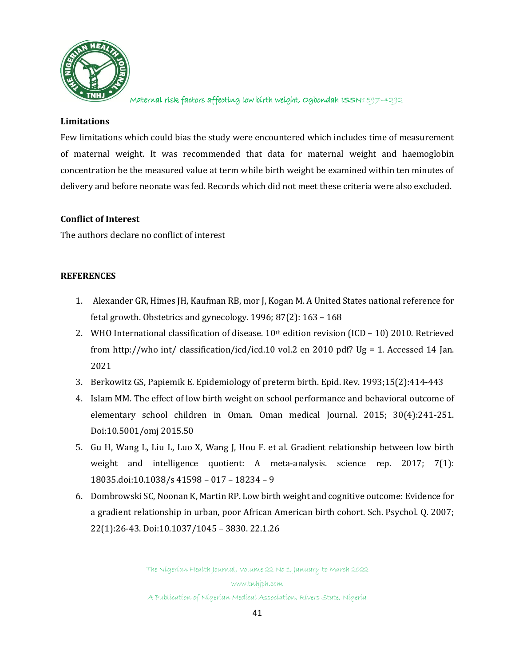

#### **Limitations**

Few limitations which could bias the study were encountered which includes time of measurement of maternal weight. It was recommended that data for maternal weight and haemoglobin concentration be the measured value at term while birth weight be examined within ten minutes of delivery and before neonate was fed. Records which did not meet these criteria were also excluded.

#### **Conflict of Interest**

The authors declare no conflict of interest

#### **REFERENCES**

- 1. Alexander GR, Himes JH, Kaufman RB, mor J, Kogan M. A United States national reference for fetal growth. Obstetrics and gynecology. 1996; 87(2): 163 – 168
- 2. WHO International classification of disease.  $10<sup>th</sup>$  edition revision (ICD 10) 2010. Retrieved from [http://who](http://who/) int/ classification/icd/icd.10 vol.2 en 2010 pdf? Ug = 1. Accessed 14 Jan. 2021
- 3. Berkowitz GS, Papiemik E. Epidemiology of preterm birth. Epid. Rev. 1993;15(2):414-443
- 4. Islam MM. The effect of low birth weight on school performance and behavioral outcome of elementary school children in Oman. Oman medical Journal. 2015; 30(4):241-251. Doi:10.5001/omj 2015.50
- 5. Gu H, Wang L, Liu L, Luo X, Wang J, Hou F. et al. Gradient relationship between low birth weight and intelligence quotient: A meta-analysis. science rep. 2017; 7(1): 18035.doi:10.1038/s 41598 – 017 – 18234 – 9
- 6. Dombrowski SC, Noonan K, Martin RP. Low birth weight and cognitive outcome: Evidence for a gradient relationship in urban, poor African American birth cohort. Sch. Psychol. Q. 2007; 22(1):26-43. Doi:10.1037/1045 – 3830. 22.1.26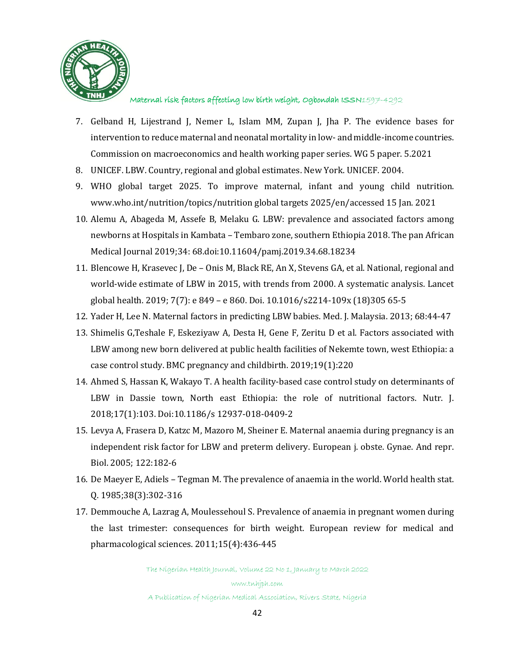

- 7. Gelband H, Lijestrand J, Nemer L, Islam MM, Zupan J, Jha P. The evidence bases for intervention to reduce maternal and neonatal mortality in low- and middle-income countries. Commission on macroeconomics and health working paper series. WG 5 paper. 5.2021
- 8. UNICEF. LBW. Country, regional and global estimates. New York. UNICEF. 2004.
- 9. WHO global target 2025. To improve maternal, infant and young child nutrition. [www.who.int/nutrition/topics/nutrition](http://www.who.int/nutrition/topics/nutrition) global targets 2025/en/accessed 15 Jan. 2021
- 10. Alemu A, Abageda M, Assefe B, Melaku G. LBW: prevalence and associated factors among newborns at Hospitals in Kambata – Tembaro zone, southern Ethiopia 2018. The pan African Medical Journal 2019;34: 68.doi:10.11604/pamj.2019.34.68.18234
- 11. Blencowe H, Krasevec J, De Onis M, Black RE, An X, Stevens GA, et al. National, regional and world-wide estimate of LBW in 2015, with trends from 2000. A systematic analysis. Lancet global health. 2019; 7(7): e 849 – e 860. Doi. 10.1016/s2214-109x (18)305 65-5
- 12. Yader H, Lee N. Maternal factors in predicting LBW babies. Med. J. Malaysia. 2013; 68:44-47
- 13. Shimelis G,Teshale F, Eskeziyaw A, Desta H, Gene F, Zeritu D et al. Factors associated with LBW among new born delivered at public health facilities of Nekemte town, west Ethiopia: a case control study. BMC pregnancy and childbirth. 2019;19(1):220
- 14. Ahmed S, Hassan K, Wakayo T. A health facility-based case control study on determinants of LBW in Dassie town, North east Ethiopia: the role of nutritional factors. Nutr. J. 2018;17(1):103. Doi:10.1186/s 12937-018-0409-2
- 15. Levya A, Frasera D, Katzc M, Mazoro M, Sheiner E. Maternal anaemia during pregnancy is an independent risk factor for LBW and preterm delivery. European j. obste. Gynae. And repr. Biol. 2005; 122:182-6
- 16. De Maeyer E, Adiels Tegman M. The prevalence of anaemia in the world. World health stat. Q. 1985;38(3):302-316
- 17. Demmouche A, Lazrag A, Moulessehoul S. Prevalence of anaemia in pregnant women during the last trimester: consequences for birth weight. European review for medical and pharmacological sciences. 2011;15(4):436-445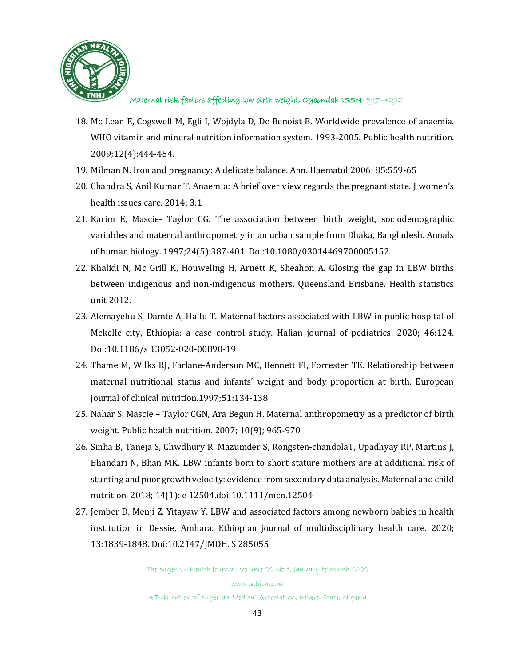

- 18. Mc Lean E, Cogswell M, Egli I, Wojdyla D, De Benoist B. Worldwide prevalence of anaemia. WHO vitamin and mineral nutrition information system. 1993-2005. Public health nutrition. 2009;12(4):444-454.
- 19. Milman N. Iron and pregnancy: A delicate balance. Ann. Haematol 2006; 85:559-65
- 20. Chandra S, Anil Kumar T. Anaemia: A brief over view regards the pregnant state. J women's health issues care. 2014; 3:1
- 21. Karim E, Mascie- Taylor CG. The association between birth weight, sociodemographic variables and maternal anthropometry in an urban sample from Dhaka, Bangladesh. Annals of human biology. 1997;24(5):387-401. Doi:10.1080/03014469700005152.
- 22. Khalidi N, Mc Grill K, Houweling H, Arnett K, Sheahon A. Glosing the gap in LBW births between indigenous and non-indigenous mothers. Queensland Brisbane. Health statistics unit 2012.
- 23. Alemayehu S, Damte A, Hailu T. Maternal factors associated with LBW in public hospital of Mekelle city, Ethiopia: a case control study. Halian journal of pediatrics. 2020; 46:124. Doi:10.1186/s 13052-020-00890-19
- 24. Thame M, Wilks RJ, Farlane-Anderson MC, Bennett FI, Forrester TE. Relationship between maternal nutritional status and infants' weight and body proportion at birth. European journal of clinical nutrition.1997;51:134-138
- 25. Nahar S, Mascie Taylor CGN, Ara Begun H. Maternal anthropometry as a predictor of birth weight. Public health nutrition. 2007; 10(9); 965-970
- 26. Sinha B, Taneja S, Chwdhury R, Mazumder S, Rongsten-chandolaT, Upadhyay RP, Martins J, Bhandari N, Bhan MK. LBW infants born to short stature mothers are at additional risk of stunting and poor growth velocity: evidence from secondary data analysis. Maternal and child nutrition. 2018; 14(1): e 12504.doi:10.1111/mcn.12504
- 27. Jember D, Menji Z, Yitayaw Y. LBW and associated factors among newborn babies in health institution in Dessie, Amhara. Ethiopian journal of multidisciplinary health care. 2020; 13:1839-1848. Doi:10.2147/JMDH. S 285055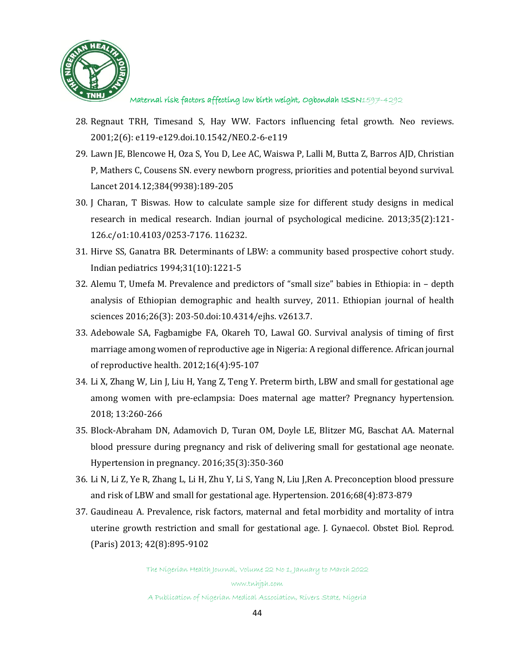

- 28. Regnaut TRH, Timesand S, Hay WW. Factors influencing fetal growth. Neo reviews. 2001;2(6): e119-e129.doi.10.1542/NEO.2-6-e119
- 29. Lawn JE, Blencowe H, Oza S, You D, Lee AC, Waiswa P, Lalli M, Butta Z, Barros AJD, Christian P, Mathers C, Cousens SN. every newborn progress, priorities and potential beyond survival. Lancet 2014.12;384(9938):189-205
- 30. J Charan, T Biswas. How to calculate sample size for different study designs in medical research in medical research. Indian journal of psychological medicine. 2013;35(2):121- 126.c/o1:10.4103/0253-7176. 116232.
- 31. Hirve SS, Ganatra BR. Determinants of LBW: a community based prospective cohort study. Indian pediatrics 1994;31(10):1221-5
- 32. Alemu T, Umefa M. Prevalence and predictors of "small size" babies in Ethiopia: in depth analysis of Ethiopian demographic and health survey, 2011. Ethiopian journal of health sciences 2016;26(3): 203-50.doi:10.4314/ejhs. v2613.7.
- 33. Adebowale SA, Fagbamigbe FA, Okareh TO, Lawal GO. Survival analysis of timing of first marriage among women of reproductive age in Nigeria: A regional difference. African journal of reproductive health. 2012;16(4):95-107
- 34. Li X, Zhang W, Lin J, Liu H, Yang Z, Teng Y. Preterm birth, LBW and small for gestational age among women with pre-eclampsia: Does maternal age matter? Pregnancy hypertension. 2018; 13:260-266
- 35. Block-Abraham DN, Adamovich D, Turan OM, Doyle LE, Blitzer MG, Baschat AA. Maternal blood pressure during pregnancy and risk of delivering small for gestational age neonate. Hypertension in pregnancy. 2016;35(3):350-360
- 36. Li N, Li Z, Ye R, Zhang L, Li H, Zhu Y, Li S, Yang N, Liu J,Ren A. Preconception blood pressure and risk of LBW and small for gestational age. Hypertension. 2016;68(4):873-879
- 37. Gaudineau A. Prevalence, risk factors, maternal and fetal morbidity and mortality of intra uterine growth restriction and small for gestational age. J. Gynaecol. Obstet Biol. Reprod. (Paris) 2013; 42(8):895-9102